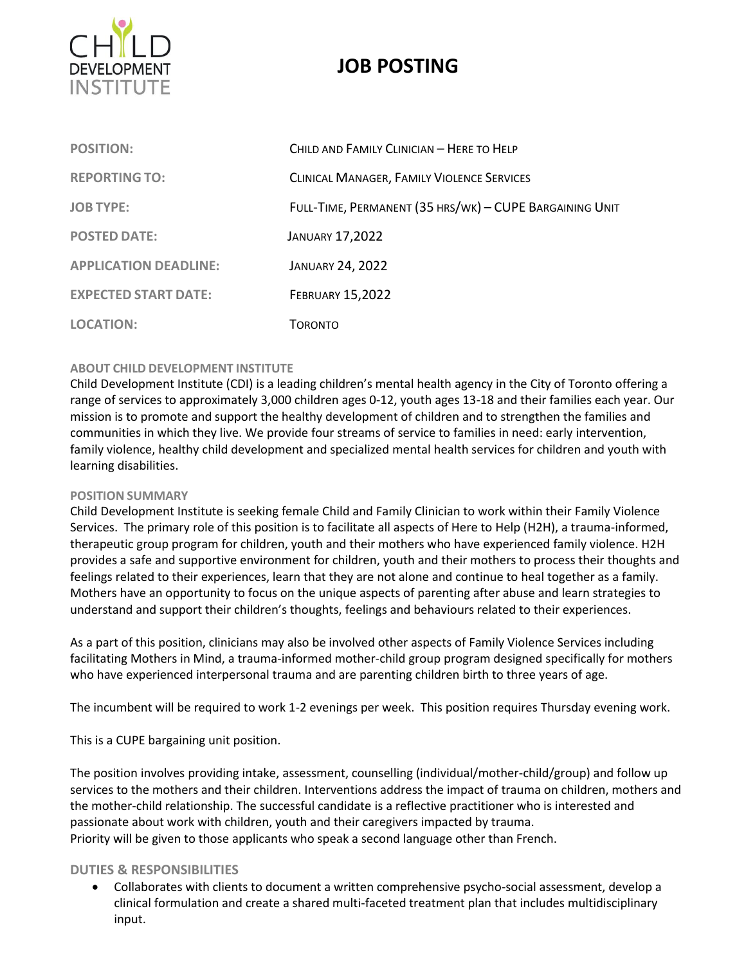

# **JOB POSTING**

| <b>POSITION:</b>             | CHILD AND FAMILY CLINICIAN - HERE TO HELP               |
|------------------------------|---------------------------------------------------------|
| <b>REPORTING TO:</b>         | CLINICAL MANAGER, FAMILY VIOLENCE SERVICES              |
| <b>JOB TYPE:</b>             | FULL-TIME, PERMANENT (35 HRS/WK) - CUPE BARGAINING UNIT |
| <b>POSTED DATE:</b>          | <b>JANUARY 17,2022</b>                                  |
| <b>APPLICATION DEADLINE:</b> | <b>JANUARY 24, 2022</b>                                 |
| <b>EXPECTED START DATE:</b>  | <b>FEBRUARY 15,2022</b>                                 |
| <b>LOCATION:</b>             | TORONTO                                                 |

## **ABOUT CHILD DEVELOPMENT INSTITUTE**

Child Development Institute (CDI) is a leading children's mental health agency in the City of Toronto offering a range of services to approximately 3,000 children ages 0‐12, youth ages 13-18 and their families each year. Our mission is to promote and support the healthy development of children and to strengthen the families and communities in which they live. We provide four streams of service to families in need: early intervention, family violence, healthy child development and specialized mental health services for children and youth with learning disabilities.

## **POSITION SUMMARY**

Child Development Institute is seeking female Child and Family Clinician to work within their Family Violence Services. The primary role of this position is to facilitate all aspects of Here to Help (H2H), a trauma-informed, therapeutic group program for children, youth and their mothers who have experienced family violence. H2H provides a safe and supportive environment for children, youth and their mothers to process their thoughts and feelings related to their experiences, learn that they are not alone and continue to heal together as a family. Mothers have an opportunity to focus on the unique aspects of parenting after abuse and learn strategies to understand and support their children's thoughts, feelings and behaviours related to their experiences.

As a part of this position, clinicians may also be involved other aspects of Family Violence Services including facilitating Mothers in Mind, a trauma-informed mother-child group program designed specifically for mothers who have experienced interpersonal trauma and are parenting children birth to three years of age.

The incumbent will be required to work 1-2 evenings per week. This position requires Thursday evening work.

This is a CUPE bargaining unit position.

The position involves providing intake, assessment, counselling (individual/mother-child/group) and follow up services to the mothers and their children. Interventions address the impact of trauma on children, mothers and the mother-child relationship. The successful candidate is a reflective practitioner who is interested and passionate about work with children, youth and their caregivers impacted by trauma. Priority will be given to those applicants who speak a second language other than French.

## **DUTIES & RESPONSIBILITIES**

• Collaborates with clients to document a written comprehensive psycho-social assessment, develop a clinical formulation and create a shared multi-faceted treatment plan that includes multidisciplinary input.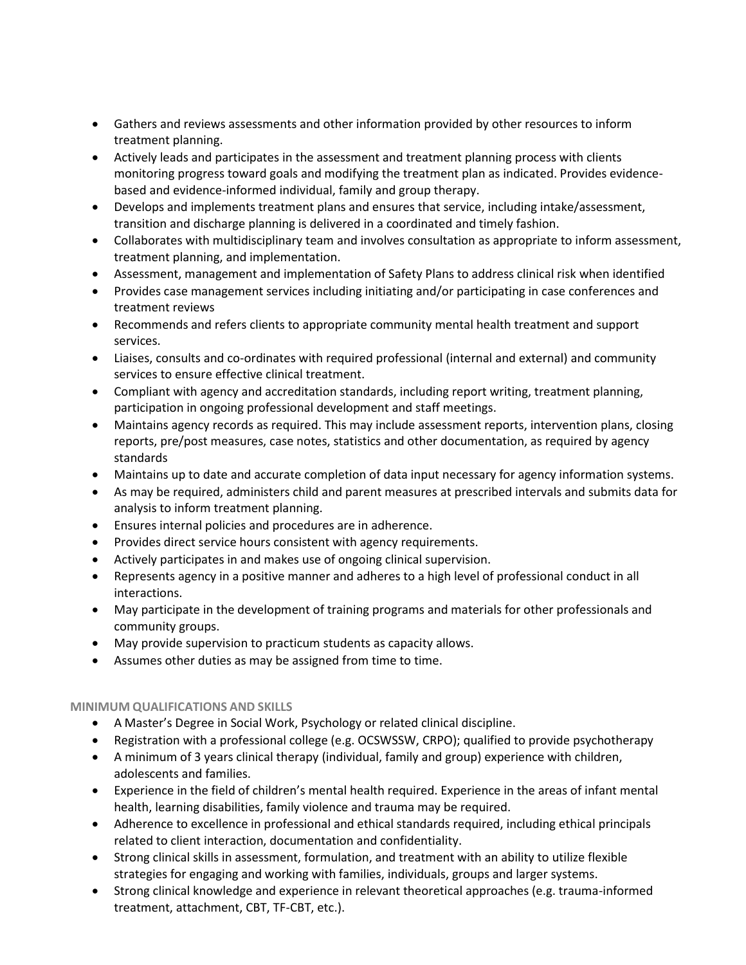- Gathers and reviews assessments and other information provided by other resources to inform treatment planning.
- Actively leads and participates in the assessment and treatment planning process with clients monitoring progress toward goals and modifying the treatment plan as indicated. Provides evidencebased and evidence-informed individual, family and group therapy.
- Develops and implements treatment plans and ensures that service, including intake/assessment, transition and discharge planning is delivered in a coordinated and timely fashion.
- Collaborates with multidisciplinary team and involves consultation as appropriate to inform assessment, treatment planning, and implementation.
- Assessment, management and implementation of Safety Plans to address clinical risk when identified
- Provides case management services including initiating and/or participating in case conferences and treatment reviews
- Recommends and refers clients to appropriate community mental health treatment and support services.
- Liaises, consults and co-ordinates with required professional (internal and external) and community services to ensure effective clinical treatment.
- Compliant with agency and accreditation standards, including report writing, treatment planning, participation in ongoing professional development and staff meetings.
- Maintains agency records as required. This may include assessment reports, intervention plans, closing reports, pre/post measures, case notes, statistics and other documentation, as required by agency standards
- Maintains up to date and accurate completion of data input necessary for agency information systems.
- As may be required, administers child and parent measures at prescribed intervals and submits data for analysis to inform treatment planning.
- Ensures internal policies and procedures are in adherence.
- Provides direct service hours consistent with agency requirements.
- Actively participates in and makes use of ongoing clinical supervision.
- Represents agency in a positive manner and adheres to a high level of professional conduct in all interactions.
- May participate in the development of training programs and materials for other professionals and community groups.
- May provide supervision to practicum students as capacity allows.
- Assumes other duties as may be assigned from time to time.

## **MINIMUM QUALIFICATIONS AND SKILLS**

- A Master's Degree in Social Work, Psychology or related clinical discipline.
- Registration with a professional college (e.g. OCSWSSW, CRPO); qualified to provide psychotherapy
- A minimum of 3 years clinical therapy (individual, family and group) experience with children, adolescents and families.
- Experience in the field of children's mental health required. Experience in the areas of infant mental health, learning disabilities, family violence and trauma may be required.
- Adherence to excellence in professional and ethical standards required, including ethical principals related to client interaction, documentation and confidentiality.
- Strong clinical skills in assessment, formulation, and treatment with an ability to utilize flexible strategies for engaging and working with families, individuals, groups and larger systems.
- Strong clinical knowledge and experience in relevant theoretical approaches (e.g. trauma-informed treatment, attachment, CBT, TF-CBT, etc.).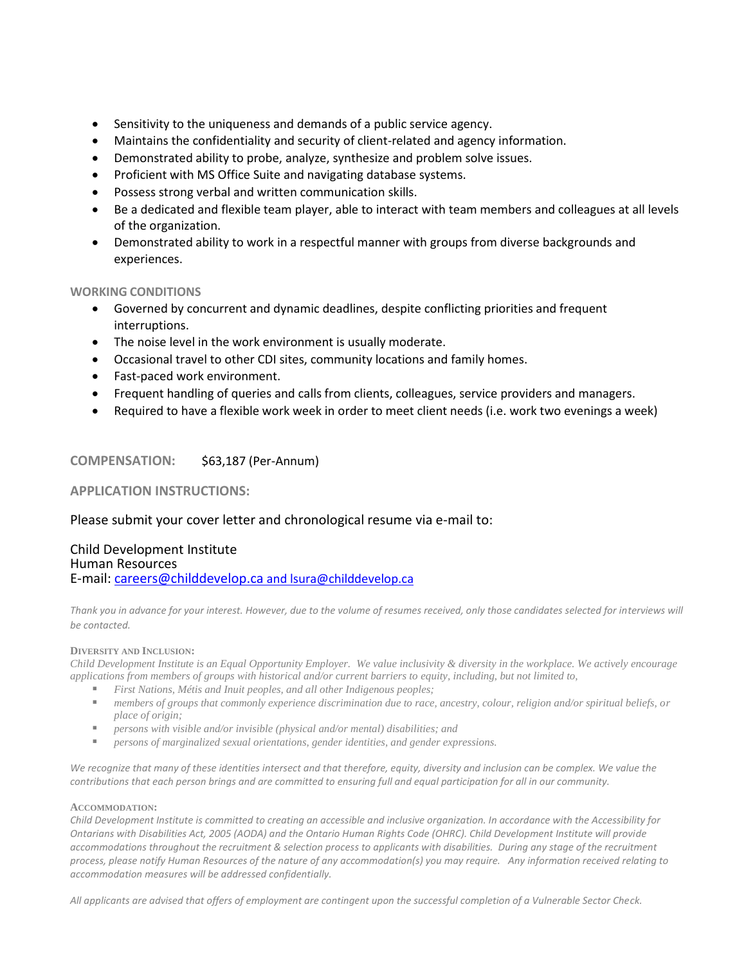- Sensitivity to the uniqueness and demands of a public service agency.
- Maintains the confidentiality and security of client-related and agency information.
- Demonstrated ability to probe, analyze, synthesize and problem solve issues.
- Proficient with MS Office Suite and navigating database systems.
- Possess strong verbal and written communication skills.
- Be a dedicated and flexible team player, able to interact with team members and colleagues at all levels of the organization.
- Demonstrated ability to work in a respectful manner with groups from diverse backgrounds and experiences.

#### **WORKING CONDITIONS**

- Governed by concurrent and dynamic deadlines, despite conflicting priorities and frequent interruptions.
- The noise level in the work environment is usually moderate.
- Occasional travel to other CDI sites, community locations and family homes.
- Fast-paced work environment.
- Frequent handling of queries and calls from clients, colleagues, service providers and managers.
- Required to have a flexible work week in order to meet client needs (i.e. work two evenings a week)

## **COMPENSATION:** \$63,187 (Per-Annum)

## **APPLICATION INSTRUCTIONS:**

## Please submit your cover letter and chronological resume via e-mail to:

## Child Development Institute Human Resources E-mail: [careers@childdevelop.ca](mailto:careers@childdevelop.ca) and lsura@childdevelop.ca

*Thank you in advance for your interest. However, due to the volume of resumes received, only those candidates selected for interviews will be contacted.* 

#### **DIVERSITY AND INCLUSION:**

*Child Development Institute is an Equal Opportunity Employer. We value inclusivity & diversity in the workplace. We actively encourage applications from members of groups with historical and/or current barriers to equity, including, but not limited to,*

- *First Nations, Métis and Inuit peoples, and all other Indigenous peoples;*
- *members of groups that commonly experience discrimination due to race, ancestry, colour, religion and/or spiritual beliefs, or place of origin;*
- *persons with visible and/or invisible (physical and/or mental) disabilities; and*
- *persons of marginalized sexual orientations, gender identities, and gender expressions.*

*We recognize that many of these identities intersect and that therefore, equity, diversity and inclusion can be complex. We value the contributions that each person brings and are committed to ensuring full and equal participation for all in our community.*

#### **ACCOMMODATION:**

*Child Development Institute is committed to creating an accessible and inclusive organization. In accordance with the Accessibility for Ontarians with Disabilities Act, 2005 (AODA) and the Ontario Human Rights Code (OHRC). Child Development Institute will provide accommodations throughout the recruitment & selection process to applicants with disabilities. During any stage of the recruitment process, please notify Human Resources of the nature of any accommodation(s) you may require. Any information received relating to accommodation measures will be addressed confidentially.*

*All applicants are advised that offers of employment are contingent upon the successful completion of a Vulnerable Sector Check.*